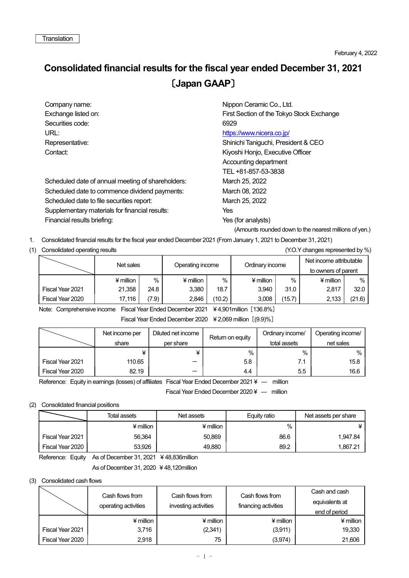## Consolidated financial results for the fiscal year ended December 31, 2021 〔Japan GAAP〕

| Company name:                                     | Nippon Ceramic Co., Ltd.                  |
|---------------------------------------------------|-------------------------------------------|
| Exchange listed on:                               | First Section of the Tokyo Stock Exchange |
| Securities code:                                  | 6929                                      |
| URL:                                              | https://www.nicera.co.jp/                 |
| Representative:                                   | Shinichi Taniguchi, President & CEO       |
| Contact:                                          | Kiyoshi Honjo, Executive Officer          |
|                                                   | Accounting department                     |
|                                                   | TEL +81-857-53-3838                       |
| Scheduled date of annual meeting of shareholders: | March 25, 2022                            |
| Scheduled date to commence dividend payments:     | March 08, 2022                            |
| Scheduled date to file securities report:         | March 25, 2022                            |
| Supplementary materials for financial results:    | Yes                                       |
| Financial results briefing:                       | Yes (for analysts)                        |

(Amounts rounded down to the nearest millions of yen.)

1. Consolidated financial results for the fiscal year ended December 2021 (From January 1, 2021 to December 31, 2021)

## (1) Consolidated operating results (Y.O.Y changes represented by %)

|                  | Net sales |               | Operating income |        | Ordinary income |        | Net income attributable<br>to owners of parent |        |
|------------------|-----------|---------------|------------------|--------|-----------------|--------|------------------------------------------------|--------|
|                  | ¥ million | $\frac{0}{0}$ | ¥ million        | $\%$   |                 | $\%$   | $*$ million                                    | %      |
| Fiscal Year 2021 | 21.358    | 24.8          | 3.380            | 18.7   | 3.940           | 31.0   | 2,817                                          | 32.0   |
| Fiscal Year 2020 | 17.116    | (7.9)         | 2.846            | (10.2) | 3,008           | (15.7) | 2,133                                          | (21.6) |

Note: Comprehensive income Fiscal Year Ended December 2021 ¥ 4,901million [136.8%]

Fiscal Year Ended December 2020 ¥ 2,069 million [(9.9)%]

|                  | Net income per | Diluted net income | Return on equity | Ordinary income/ | Operating income/ |
|------------------|----------------|--------------------|------------------|------------------|-------------------|
|                  | share          | per share          |                  | total assets     | net sales         |
|                  |                |                    | $\%$             | $\%$             | %                 |
| Fiscal Year 2021 | 110.65         |                    | 5.8              | 7.1              | 15.8              |
| Fiscal Year 2020 | 82.19          | –                  | 4.4              | 5.5              | 16.6              |

Reference: Equity in earnings (losses) of affiliates Fiscal Year Ended December 2021 ¥ — million

Fiscal Year Ended December 2020 ¥ ― million

## (2) Consolidated financial positions

|                  | Total assets | Net assets  | Equity ratio | Net assets per share |  |
|------------------|--------------|-------------|--------------|----------------------|--|
|                  | $*$ million  | $4$ million | $\%$         |                      |  |
| Fiscal Year 2021 | 56,364       | 50,869      | 86.6         | 1.947.84             |  |
| Fiscal Year 2020 | 53.926       | 49,880      | 89.2         | 1.867.21             |  |

Reference: Equity As of December 31, 2021 ¥ 48,836million

As of December 31, 2020 ¥ 48,120million

## (3) Consolidated cash flows

|                  | Cash flows from<br>operating activities | Cash flows from<br>investing activities | Cash flows from<br>financing activities | Cash and cash<br>equivalents at<br>end of period |  |
|------------------|-----------------------------------------|-----------------------------------------|-----------------------------------------|--------------------------------------------------|--|
|                  | ¥ million                               | ¥ million                               | $*$ million                             | $*$ million                                      |  |
| Fiscal Year 2021 | 3,716                                   | (2,341)                                 | (3,911)                                 | 19,330                                           |  |
| Fiscal Year 2020 | 2,918                                   | 75                                      | (3, 974)                                | 21,606                                           |  |